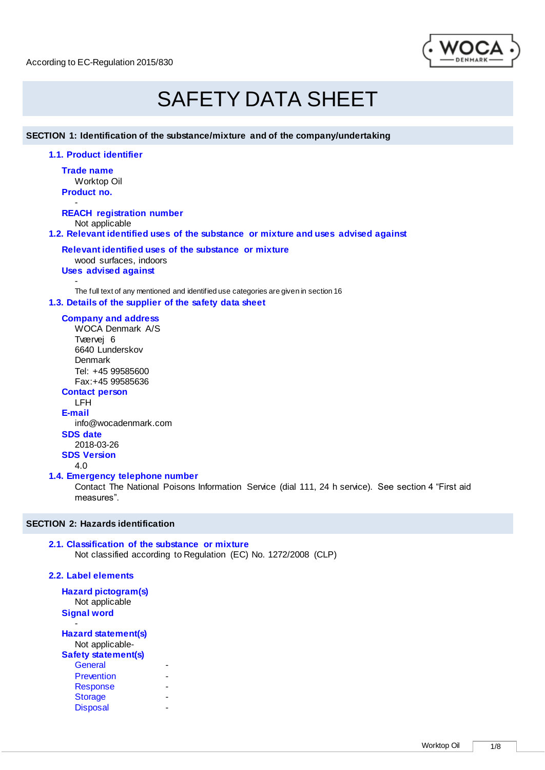

# SAFETY DATA SHEET

**SECTION 1: Identification of the substance/mixture and of the company/undertaking**

**1.1. Product identifier**

**Trade name** Worktop Oil **Product no.**

- **REACH registration number** Not applicable

**1.2. Relevant identified uses of the substance or mixture and uses advised against**

#### **Relevant identified uses of the substance or mixture**

wood surfaces, indoors **Uses advised against** 

- The full text of any mentioned and identified use categories are given in section 16 **1.3. Details of the supplier of the safety data sheet**

# **Company and address**

WOCA Denmark A/S Tværvej 6 6640 Lunderskov **Denmark** Tel: +45 99585600 Fax:+45 99585636 **Contact person** LFH

**E-mail** info@wocadenmark.com

# **SDS date**

2018-03-26

**SDS Version**

4.0

# **1.4. Emergency telephone number**

Contact The National Poisons Information Service (dial 111, 24 h service). See section 4 "First aid measures".

# **SECTION 2: Hazards identification**

#### **2.1. Classification of the substance or mixture** Not classified according to Regulation (EC) No. 1272/2008 (CLP)

# **2.2. Label elements**

**Hazard pictogram(s)** Not applicable **Signal word**

- **Hazard statement(s)**

Not applicable-**Safety statement(s) General** Prevention Response **Storage Disposal**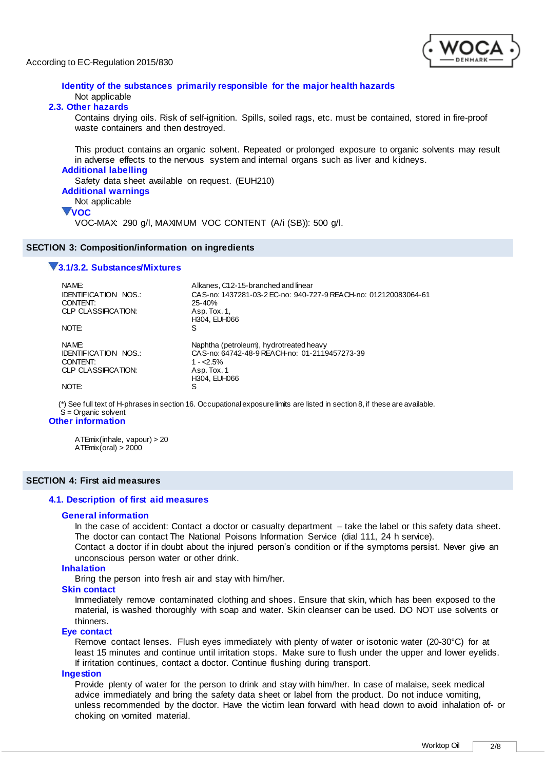

# **Identity of the substances primarily responsible for the major health hazards** Not applicable

# **2.3. Other hazards**

Contains drying oils. Risk of self-ignition. Spills, soiled rags, etc. must be contained, stored in fire-proof waste containers and then destroyed.

This product contains an organic solvent. Repeated or prolonged exposure to organic solvents may result in adverse effects to the nervous system and internal organs such as liver and k idneys.

### **Additional labelling**

Safety data sheet available on request. (EUH210)

# **Additional warnings**

```
Not applicable
```
# **VOC**

VOC-MAX: 290 g/l, MAXIMUM VOC CONTENT (A/i (SB)): 500 g/l.

#### **SECTION 3: Composition/information on ingredients**

### **3.1/3.2. Substances/Mixtures**

| NAME:<br><b>IDENTIFICATION NOS.:</b><br>CONTENT:<br>CLP CLASSIFICATION:<br>NOTE: | Alkanes, C12-15-branched and linear<br>CAS-no: 1437281-03-2 EC-no: 940-727-9 REACH-no: 012120083064-61<br>$25 - 40%$<br>Asp. Tox. 1,<br>H304, EUH066<br>S |
|----------------------------------------------------------------------------------|-----------------------------------------------------------------------------------------------------------------------------------------------------------|
|                                                                                  |                                                                                                                                                           |
| NAMF:<br><b>IDENTIFICATION NOS.:</b><br>CONTENT:                                 | Naphtha (petroleum), hydrotreated heavy<br>CAS-no: 64742-48-9 REACH-no: 01-2119457273-39<br>$1 - 5\%$                                                     |
| CLP CLASSIFICATION:                                                              | Asp. Tox. 1                                                                                                                                               |
|                                                                                  | H304, EUH066                                                                                                                                              |
| NOTE:                                                                            | S                                                                                                                                                         |

(\*) See full text of H-phrases in section 16. Occupational exposure limits are listed in section 8, if these are available. S = Organic solvent

# **Other information**

ATEmix(inhale, vapour) > 20 ATEmix(oral) > 2000

# **SECTION 4: First aid measures**

# **4.1. Description of first aid measures**

# **General information**

In the case of accident: Contact a doctor or casualty department – take the label or this safety data sheet. The doctor can contact The National Poisons Information Service (dial 111, 24 h service).

Contact a doctor if in doubt about the injured person's condition or if the symptoms persist. Never give an unconscious person water or other drink.

# **Inhalation**

Bring the person into fresh air and stay with him/her.

#### **Skin contact**

Immediately remove contaminated clothing and shoes. Ensure that skin, which has been exposed to the material, is washed thoroughly with soap and water. Skin cleanser can be used. DO NOT use solvents or thinners.

#### **Eye contact**

Remove contact lenses. Flush eyes immediately with plenty of water or isotonic water (20-30°C) for at least 15 minutes and continue until irritation stops. Make sure to flush under the upper and lower eyelids. If irritation continues, contact a doctor. Continue flushing during transport.

#### **Ingestion**

Provide plenty of water for the person to drink and stay with him/her. In case of malaise, seek medical advice immediately and bring the safety data sheet or label from the product. Do not induce vomiting, unless recommended by the doctor. Have the victim lean forward with head down to avoid inhalation of- or choking on vomited material.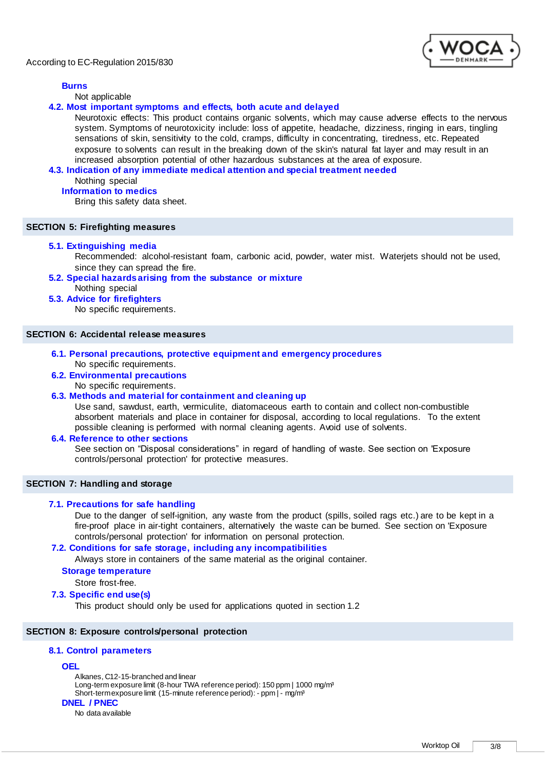# **Burns**

Not applicable

### **4.2. Most important symptoms and effects, both acute and delayed**

Neurotoxic effects: This product contains organic solvents, which may cause adverse effects to the nervous system. Symptoms of neurotoxicity include: loss of appetite, headache, dizziness, ringing in ears, tingling sensations of skin, sensitivity to the cold, cramps, difficulty in concentrating, tiredness, etc. Repeated exposure to solvents can result in the breaking down of the skin's natural fat layer and may result in an increased absorption potential of other hazardous substances at the area of exposure.

#### **4.3. Indication of any immediate medical attention and special treatment needed**

Nothing special

#### **Information to medics**

Bring this safety data sheet.

# **SECTION 5: Firefighting measures**

#### **5.1. Extinguishing media**

Recommended: alcohol-resistant foam, carbonic acid, powder, water mist. Waterjets should not be used, since they can spread the fire.

- **5.2. Special hazards arising from the substance or mixture** Nothing special
- **5.3. Advice for firefighters**

No specific requirements.

#### **SECTION 6: Accidental release measures**

- **6.1. Personal precautions, protective equipment and emergency procedures** No specific requirements.
- **6.2. Environmental precautions**

No specific requirements.

# **6.3. Methods and material for containment and cleaning up**

Use sand, sawdust, earth, vermiculite, diatomaceous earth to contain and collect non-combustible absorbent materials and place in container for disposal, according to local regulations. To the extent possible cleaning is performed with normal cleaning agents. Avoid use of solvents.

#### **6.4. Reference to other sections**

See section on "Disposal considerations" in regard of handling of waste. See section on 'Exposure controls/personal protection' for protective measures.

# **SECTION 7: Handling and storage**

# **7.1. Precautions for safe handling**

Due to the danger of self-ignition, any waste from the product (spills, soiled rags etc.) are to be kept in a fire-proof place in air-tight containers, alternatively the waste can be burned. See section on 'Exposure controls/personal protection' for information on personal protection.

# **7.2. Conditions for safe storage, including any incompatibilities**

Always store in containers of the same material as the original container.

### **Storage temperature**

Store frost-free.

**7.3. Specific end use(s)**

This product should only be used for applications quoted in section 1.2

#### **SECTION 8: Exposure controls/personal protection**

# **8.1. Control parameters**

#### **OEL**

Alkanes, C12-15-branched and linear Long-term exposure limit (8-hour TWA reference period): 150 ppm | 1000 mg/m<sup>3</sup> Short-term exposure limit (15-minute reference period): - ppm | - mg/m<sup>3</sup> **DNEL / PNEC**

# No data available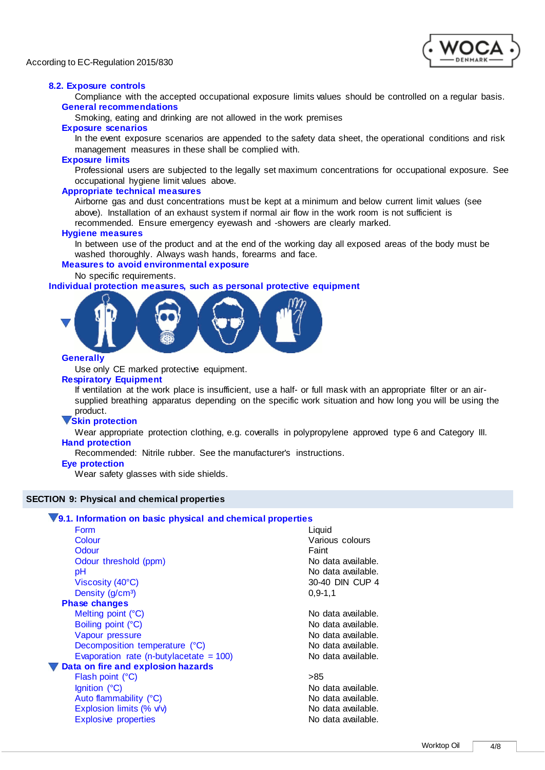

### **8.2. Exposure controls**

Compliance with the accepted occupational exposure limits values should be controlled on a regular basis. **General recommendations**

Smoking, eating and drinking are not allowed in the work premises

#### **Exposure scenarios**

In the event exposure scenarios are appended to the safety data sheet, the operational conditions and risk management measures in these shall be complied with.

#### **Exposure limits**

Professional users are subjected to the legally set maximum concentrations for occupational exposure. See occupational hygiene limit values above.

#### **Appropriate technical measures**

Airborne gas and dust concentrations must be kept at a minimum and below current limit values (see above). Installation of an exhaust system if normal air flow in the work room is not sufficient is recommended. Ensure emergency eyewash and -showers are clearly marked.

#### **Hygiene measures**

In between use of the product and at the end of the working day all exposed areas of the body must be washed thoroughly. Always wash hands, forearms and face.

# **Measures to avoid environmental exposure**

#### No specific requirements.

**Individual protection measures, such as personal protective equipment**



# **Generally**

Use only CE marked protective equipment.

#### **Respiratory Equipment**

If ventilation at the work place is insufficient, use a half- or full mask with an appropriate filter or an airsupplied breathing apparatus depending on the specific work situation and how long you will be using the product.

# **Skin protection**

Wear appropriate protection clothing, e.g. coveralls in polypropylene approved type 6 and Category III. **Hand protection**

Recommended: Nitrile rubber. See the manufacturer's instructions.

#### **Eye protection**

Wear safety glasses with side shields.

# **SECTION 9: Physical and chemical properties**

# **9.1. Information on basic physical and chemical properties**

| Form                                       | Liquid             |
|--------------------------------------------|--------------------|
| Colour                                     | Various colours    |
| Odour                                      | Faint              |
| Odour threshold (ppm)                      | No data available. |
| рH                                         | No data available. |
| Viscosity $(40^{\circ}C)$                  | 30-40 DIN CUP 4    |
| Density (g/cm <sup>3</sup> )               | $0, 9 - 1, 1$      |
| <b>Phase changes</b>                       |                    |
| Melting point (°C)                         | No data available. |
| Boiling point (°C)                         | No data available. |
| Vapour pressure                            | No data available. |
| Decomposition temperature (°C)             | No data available. |
| Evaporation rate (n-butylacetate $= 100$ ) | No data available. |
| Data on fire and explosion hazards         |                    |
| Flash point (°C)                           | >85                |
| Ignition (°C)                              | No data available. |
| Auto flammability (°C)                     | No data available. |
| Explosion limits (% v/v)                   | No data available. |
| <b>Explosive properties</b>                | No data available. |
|                                            |                    |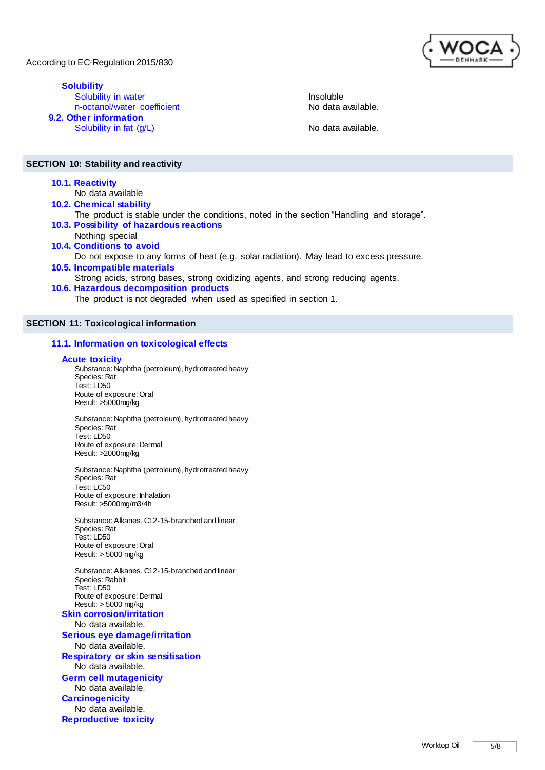**Solubility** Solubility in water<br>
n-octanol/water coefficient<br>
No data available. n-octanol/water coefficient **9.2. Other information** Solubility in fat  $(g/L)$  No data available.

# **SECTION 10: Stability and reactivity**

**10.1. Reactivity**

No data available

**10.2. Chemical stability**

- The product is stable under the conditions, noted in the section "Handling and storage". **10.3. Possibility of hazardous reactions**
- Nothing special **10.4. Conditions to avoid**
	- Do not expose to any forms of heat (e.g. solar radiation). May lead to excess pressure.
- **10.5. Incompatible materials** Strong acids, strong bases, strong oxidizing agents, and strong reducing agents. **10.6. Hazardous decomposition products**
	- The product is not degraded when used as specified in section 1.

# **SECTION 11: Toxicological information**

# **11.1. Information on toxicological effects**

# **Acute toxicity**

Substance: Naphtha (petroleum), hydrotreated heavy Species: Rat Test: LD50 Route of exposure: Oral Result: >5000mg/kg

Substance: Naphtha (petroleum), hydrotreated heavy Species: Rat Test: LD50 Route of exposure: Dermal Result: >2000mg/kg

Substance: Naphtha (petroleum), hydrotreated heavy Species: Rat Test: LC50 Route of exposure: Inhalation Result: >5000mg/m3/4h

Substance: Alkanes, C12-15-branched and linear Species: Rat Test: LD50 Route of exposure: Oral Result: > 5000 mg/kg

Substance: Alkanes, C12-15-branched and linear Species: Rabbit Test: LD50 Route of exposure: Dermal Result: > 5000 mg/kg

**Skin corrosion/irritation** No data available. **Serious eye damage/irritation** No data available. **Respiratory or skin sensitisation** No data available. **Germ cell mutagenicity** No data available. **Carcinogenicity** No data available. **Reproductive toxicity**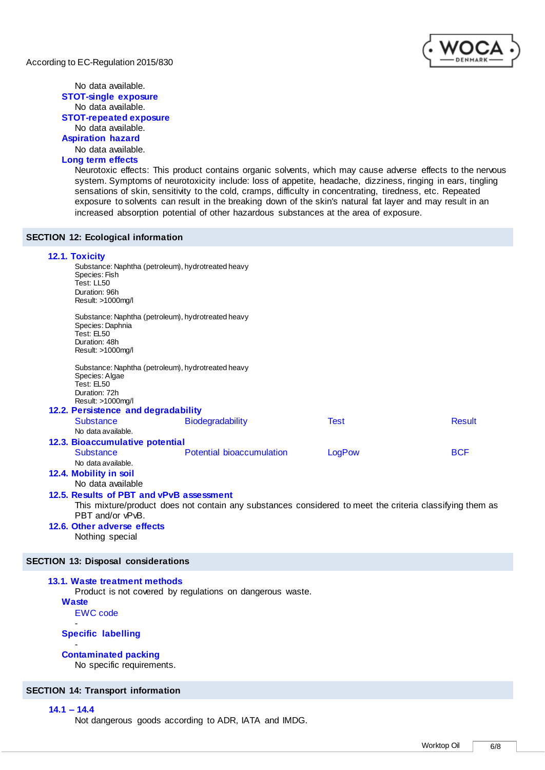### No data available. **STOT-single exposure** No data available. **STOT-repeated exposure** No data available. **Aspiration hazard** No data available.

# **Long term effects**

Neurotoxic effects: This product contains organic solvents, which may cause adverse effects to the nervous system. Symptoms of neurotoxicity include: loss of appetite, headache, dizziness, ringing in ears, tingling sensations of skin, sensitivity to the cold, cramps, difficulty in concentrating, tiredness, etc. Repeated exposure to solvents can result in the breaking down of the skin's natural fat layer and may result in an increased absorption potential of other hazardous substances at the area of exposure.

# **SECTION 12: Ecological information**

| 12.1. Toxicity<br>Substance: Naphtha (petroleum), hydrotreated heavy<br>Species: Fish<br>Test: LL50<br>Duration: 96h<br>Result: >1000mg/l |                                                                                                          |             |               |  |  |
|-------------------------------------------------------------------------------------------------------------------------------------------|----------------------------------------------------------------------------------------------------------|-------------|---------------|--|--|
| Substance: Naphtha (petroleum), hydrotreated heavy<br>Species: Daphnia<br>Test: EL50<br>Duration: 48h<br>Result: >1000mg/l                |                                                                                                          |             |               |  |  |
| Substance: Naphtha (petroleum), hydrotreated heavy<br>Species: Algae<br>Test: EL50<br>Duration: 72h<br>Result: >1000mg/l                  |                                                                                                          |             |               |  |  |
| 12.2. Persistence and degradability                                                                                                       |                                                                                                          |             |               |  |  |
| <b>Substance</b><br>No data available.                                                                                                    | Biodegradability                                                                                         | <b>Test</b> | <b>Result</b> |  |  |
| 12.3. Bioaccumulative potential                                                                                                           |                                                                                                          |             |               |  |  |
| <b>Substance</b><br>No data available.                                                                                                    | <b>Potential bioaccumulation</b>                                                                         | LogPow      | <b>BCF</b>    |  |  |
| 12.4. Mobility in soil<br>No data available                                                                                               |                                                                                                          |             |               |  |  |
| 12.5. Results of PBT and vPvB assessment<br>PBT and/or vPvB.                                                                              | This mixture/product does not contain any substances considered to meet the criteria classifying them as |             |               |  |  |
| 12.6. Other adverse effects<br>Nothing special                                                                                            |                                                                                                          |             |               |  |  |

# **SECTION 13: Disposal considerations**

# **13.1. Waste treatment methods**

Product is not covered by regulations on dangerous waste.

**Waste**

EWC code -

# **Specific labelling**

#### - **Contaminated packing**

No specific requirements.

#### **SECTION 14: Transport information**

# **14.1 – 14.4**

Not dangerous goods according to ADR, IATA and IMDG.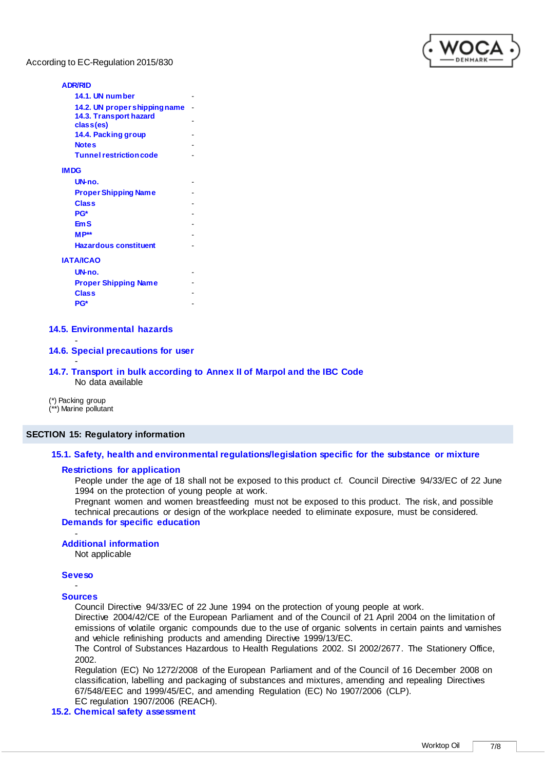

#### **ADR/RID**

| 14.1. UN number                |  |
|--------------------------------|--|
| 14.2. UN proper shipping name  |  |
| 14.3. Transport hazard         |  |
| class(es)                      |  |
| 14.4. Packing group            |  |
| <b>Notes</b>                   |  |
| <b>Tunnel restriction code</b> |  |
| <b>IMDG</b>                    |  |
| UN-no.                         |  |
| <b>Proper Shipping Name</b>    |  |
| Class                          |  |
| PG*                            |  |
| EmS                            |  |
| $MP**$                         |  |
| <b>Hazardous constituent</b>   |  |
| <b>ΙΑΤΑ/ICAO</b>               |  |
| UN-no.                         |  |
| <b>Proper Shipping Name</b>    |  |
| Class                          |  |
| PG*                            |  |

# **14.5. Environmental hazards**

# **14.6. Special precautions for user**

#### **14.7. Transport in bulk according to Annex II of Marpol and the IBC Code** No data available

(\*) Packing group (\*\*) Marine pollutant

-

-

### **SECTION 15: Regulatory information**

### **15.1. Safety, health and environmental regulations/legislation specific for the substance or mixture**

#### **Restrictions for application**

People under the age of 18 shall not be exposed to this product cf. Council Directive 94/33/EC of 22 June 1994 on the protection of young people at work.

Pregnant women and women breastfeeding must not be exposed to this product. The risk, and possible technical precautions or design of the workplace needed to eliminate exposure, must be considered. **Demands for specific education**

#### - **Additional information**

Not applicable

#### **Seveso** -

#### **Sources**

Council Directive 94/33/EC of 22 June 1994 on the protection of young people at work.

Directive 2004/42/CE of the European Parliament and of the Council of 21 April 2004 on the limitation of emissions of volatile organic compounds due to the use of organic solvents in certain paints and varnishes and vehicle refinishing products and amending Directive 1999/13/EC.

The Control of Substances Hazardous to Health Regulations 2002. SI 2002/2677. The Stationery Office, 2002.

Regulation (EC) No 1272/2008 of the European Parliament and of the Council of 16 December 2008 on classification, labelling and packaging of substances and mixtures, amending and repealing Directives 67/548/EEC and 1999/45/EC, and amending Regulation (EC) No 1907/2006 (CLP).

# EC regulation 1907/2006 (REACH).

# **15.2. Chemical safety assessment**